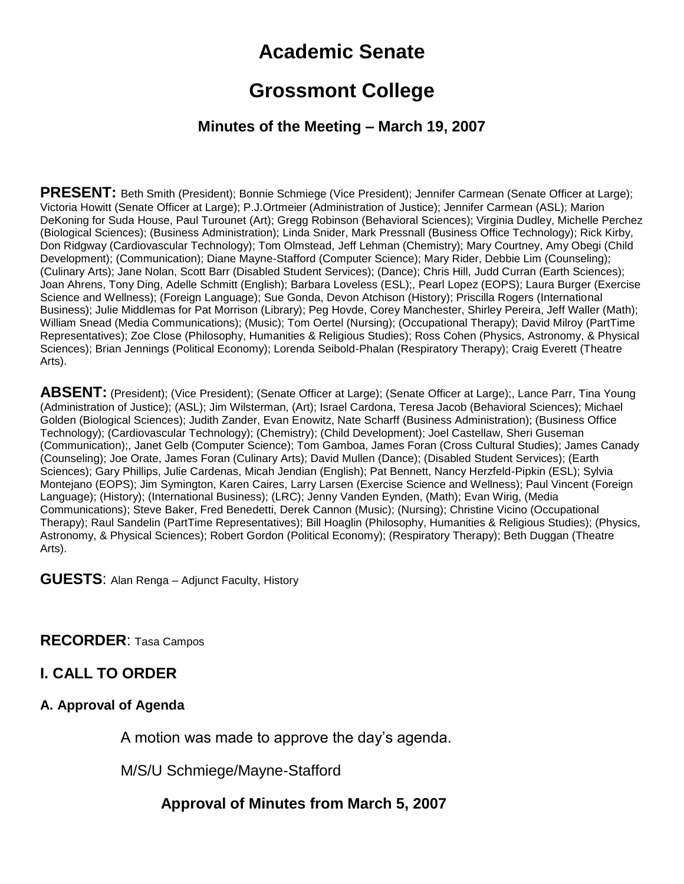# **Academic Senate**

# **Grossmont College**

### **Minutes of the Meeting – March 19, 2007**

**PRESENT:** Beth Smith (President); Bonnie Schmiege (Vice President); Jennifer Carmean (Senate Officer at Large); Victoria Howitt (Senate Officer at Large); P.J.Ortmeier (Administration of Justice); Jennifer Carmean (ASL); Marion DeKoning for Suda House, Paul Turounet (Art); Gregg Robinson (Behavioral Sciences); Virginia Dudley, Michelle Perchez (Biological Sciences); (Business Administration); Linda Snider, Mark Pressnall (Business Office Technology); Rick Kirby, Don Ridgway (Cardiovascular Technology); Tom Olmstead, Jeff Lehman (Chemistry); Mary Courtney, Amy Obegi (Child Development); (Communication); Diane Mayne-Stafford (Computer Science); Mary Rider, Debbie Lim (Counseling); (Culinary Arts); Jane Nolan, Scott Barr (Disabled Student Services); (Dance); Chris Hill, Judd Curran (Earth Sciences); Joan Ahrens, Tony Ding, Adelle Schmitt (English); Barbara Loveless (ESL);, Pearl Lopez (EOPS); Laura Burger (Exercise Science and Wellness); (Foreign Language); Sue Gonda, Devon Atchison (History); Priscilla Rogers (International Business); Julie Middlemas for Pat Morrison (Library); Peg Hovde, Corey Manchester, Shirley Pereira, Jeff Waller (Math); William Snead (Media Communications); (Music); Tom Oertel (Nursing); (Occupational Therapy); David Milroy (PartTime Representatives); Zoe Close (Philosophy, Humanities & Religious Studies); Ross Cohen (Physics, Astronomy, & Physical Sciences); Brian Jennings (Political Economy); Lorenda Seibold-Phalan (Respiratory Therapy); Craig Everett (Theatre Arts).

**ABSENT:** (President); (Vice President); (Senate Officer at Large); (Senate Officer at Large);, Lance Parr, Tina Young (Administration of Justice); (ASL); Jim Wilsterman, (Art); Israel Cardona, Teresa Jacob (Behavioral Sciences); Michael Golden (Biological Sciences); Judith Zander, Evan Enowitz, Nate Scharff (Business Administration); (Business Office Technology); (Cardiovascular Technology); (Chemistry); (Child Development); Joel Castellaw, Sheri Guseman (Communication);, Janet Gelb (Computer Science); Tom Gamboa, James Foran (Cross Cultural Studies); James Canady (Counseling); Joe Orate, James Foran (Culinary Arts); David Mullen (Dance); (Disabled Student Services); (Earth Sciences); Gary Phillips, Julie Cardenas, Micah Jendian (English); Pat Bennett, Nancy Herzfeld-Pipkin (ESL); Sylvia Montejano (EOPS); Jim Symington, Karen Caires, Larry Larsen (Exercise Science and Wellness); Paul Vincent (Foreign Language); (History); (International Business); (LRC); Jenny Vanden Eynden, (Math); Evan Wirig, (Media Communications); Steve Baker, Fred Benedetti, Derek Cannon (Music); (Nursing); Christine Vicino (Occupational Therapy); Raul Sandelin (PartTime Representatives); Bill Hoaglin (Philosophy, Humanities & Religious Studies); (Physics, Astronomy, & Physical Sciences); Robert Gordon (Political Economy); (Respiratory Therapy); Beth Duggan (Theatre Arts).

**GUESTS**: Alan Renga – Adjunct Faculty, History

**RECORDER**: Tasa Campos

### **I. CALL TO ORDER**

#### **A. Approval of Agenda**

A motion was made to approve the day's agenda.

M/S/U Schmiege/Mayne-Stafford

### **Approval of Minutes from March 5, 2007**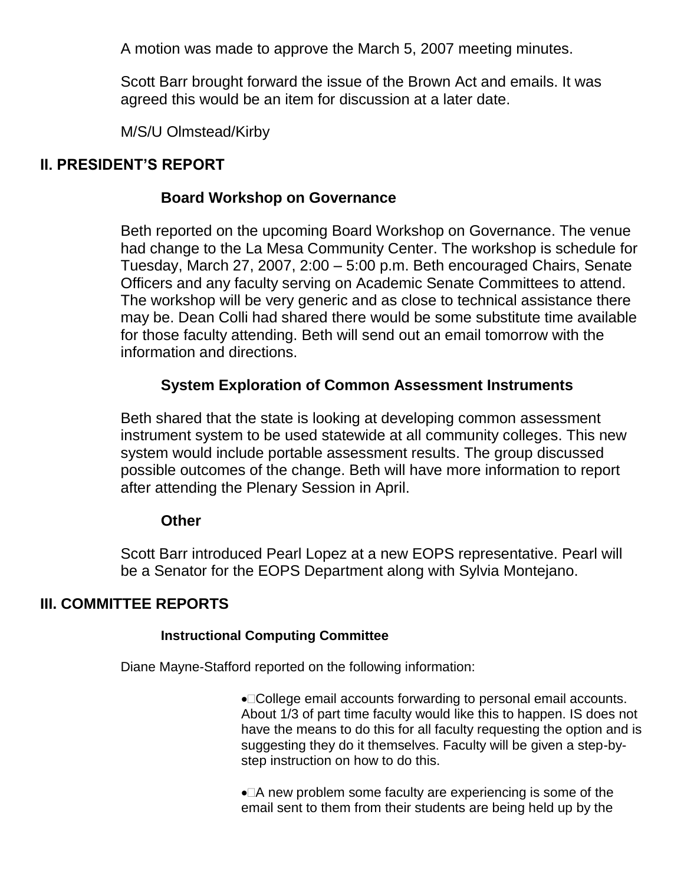A motion was made to approve the March 5, 2007 meeting minutes.

Scott Barr brought forward the issue of the Brown Act and emails. It was agreed this would be an item for discussion at a later date.

M/S/U Olmstead/Kirby

### **II. PRESIDENT'S REPORT**

### **Board Workshop on Governance**

Beth reported on the upcoming Board Workshop on Governance. The venue had change to the La Mesa Community Center. The workshop is schedule for Tuesday, March 27, 2007, 2:00 – 5:00 p.m. Beth encouraged Chairs, Senate Officers and any faculty serving on Academic Senate Committees to attend. The workshop will be very generic and as close to technical assistance there may be. Dean Colli had shared there would be some substitute time available for those faculty attending. Beth will send out an email tomorrow with the information and directions.

# **System Exploration of Common Assessment Instruments**

Beth shared that the state is looking at developing common assessment instrument system to be used statewide at all community colleges. This new system would include portable assessment results. The group discussed possible outcomes of the change. Beth will have more information to report after attending the Plenary Session in April.

#### **Other**

Scott Barr introduced Pearl Lopez at a new EOPS representative. Pearl will be a Senator for the EOPS Department along with Sylvia Montejano.

### **III. COMMITTEE REPORTS**

#### **Instructional Computing Committee**

Diane Mayne-Stafford reported on the following information:

●□College email accounts forwarding to personal email accounts. About 1/3 of part time faculty would like this to happen. IS does not have the means to do this for all faculty requesting the option and is suggesting they do it themselves. Faculty will be given a step-bystep instruction on how to do this.

• A new problem some faculty are experiencing is some of the email sent to them from their students are being held up by the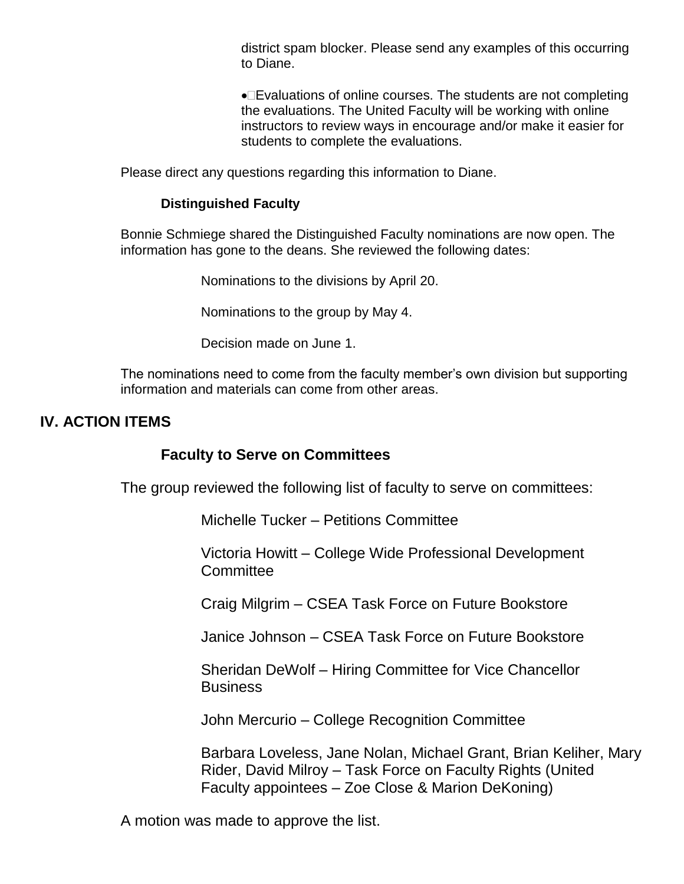district spam blocker. Please send any examples of this occurring to Diane.

•□Evaluations of online courses. The students are not completing the evaluations. The United Faculty will be working with online instructors to review ways in encourage and/or make it easier for students to complete the evaluations.

Please direct any questions regarding this information to Diane.

#### **Distinguished Faculty**

Bonnie Schmiege shared the Distinguished Faculty nominations are now open. The information has gone to the deans. She reviewed the following dates:

Nominations to the divisions by April 20.

Nominations to the group by May 4.

Decision made on June 1.

The nominations need to come from the faculty member's own division but supporting information and materials can come from other areas.

### **IV. ACTION ITEMS**

#### **Faculty to Serve on Committees**

The group reviewed the following list of faculty to serve on committees:

Michelle Tucker – Petitions Committee

Victoria Howitt – College Wide Professional Development **Committee** 

Craig Milgrim – CSEA Task Force on Future Bookstore

Janice Johnson – CSEA Task Force on Future Bookstore

Sheridan DeWolf – Hiring Committee for Vice Chancellor Business

John Mercurio – College Recognition Committee

Barbara Loveless, Jane Nolan, Michael Grant, Brian Keliher, Mary Rider, David Milroy – Task Force on Faculty Rights (United Faculty appointees – Zoe Close & Marion DeKoning)

A motion was made to approve the list.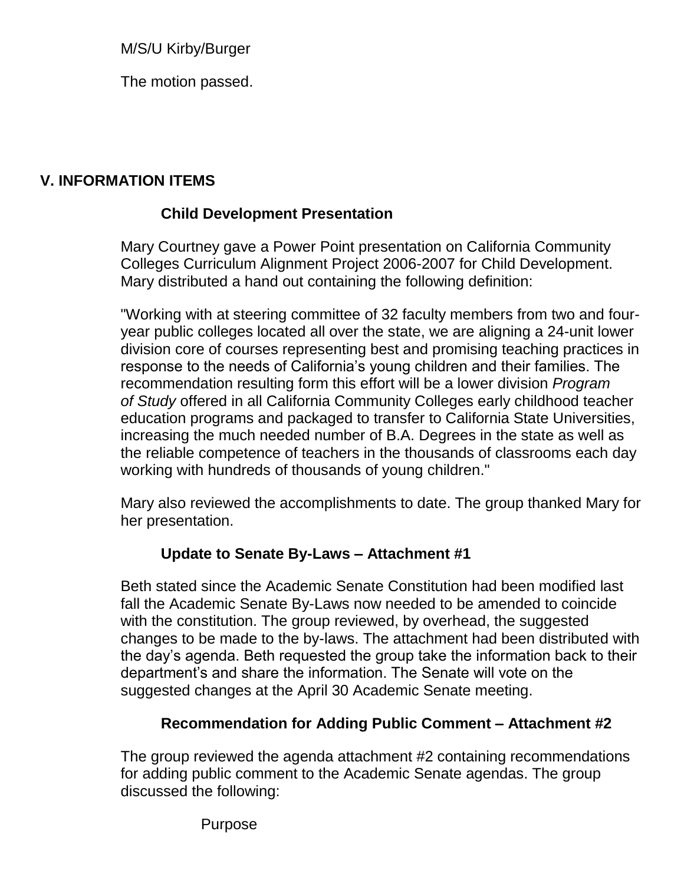M/S/U Kirby/Burger

The motion passed.

# **V. INFORMATION ITEMS**

# **Child Development Presentation**

Mary Courtney gave a Power Point presentation on California Community Colleges Curriculum Alignment Project 2006-2007 for Child Development. Mary distributed a hand out containing the following definition:

"Working with at steering committee of 32 faculty members from two and fouryear public colleges located all over the state, we are aligning a 24-unit lower division core of courses representing best and promising teaching practices in response to the needs of California's young children and their families. The recommendation resulting form this effort will be a lower division *Program of Study* offered in all California Community Colleges early childhood teacher education programs and packaged to transfer to California State Universities, increasing the much needed number of B.A. Degrees in the state as well as the reliable competence of teachers in the thousands of classrooms each day working with hundreds of thousands of young children."

Mary also reviewed the accomplishments to date. The group thanked Mary for her presentation.

# **Update to Senate By-Laws – Attachment #1**

Beth stated since the Academic Senate Constitution had been modified last fall the Academic Senate By-Laws now needed to be amended to coincide with the constitution. The group reviewed, by overhead, the suggested changes to be made to the by-laws. The attachment had been distributed with the day's agenda. Beth requested the group take the information back to their department's and share the information. The Senate will vote on the suggested changes at the April 30 Academic Senate meeting.

# **Recommendation for Adding Public Comment – Attachment #2**

The group reviewed the agenda attachment #2 containing recommendations for adding public comment to the Academic Senate agendas. The group discussed the following:

Purpose